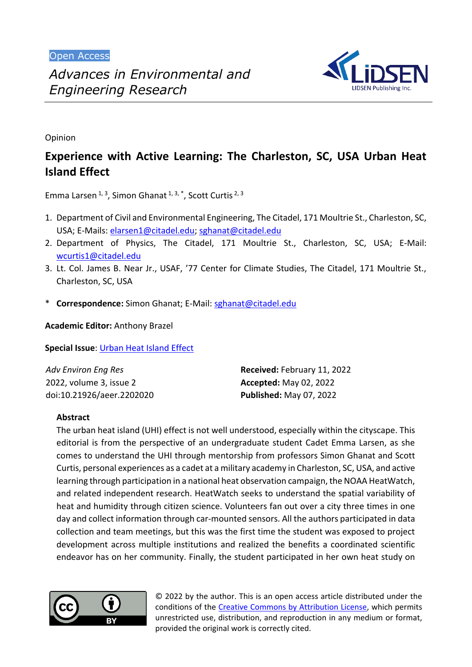Open Access



Opinion

# **Experience with Active Learning: The Charleston, SC, USA Urban Heat Island Effect**

Emma Larsen  $1, 3$ , Simon Ghanat  $1, 3, *$ , Scott Curtis  $2, 3$ 

- 1. Department of Civil and Environmental Engineering, The Citadel, 171 Moultrie St., Charleston, SC, USA; E-Mails: [elarsen1@citadel.edu;](mailto:elarsen1@citadel.edu) [sghanat@citadel.edu](mailto:sghanat@citadel.edu)
- 2. Department of Physics, The Citadel, 171 Moultrie St., Charleston, SC, USA; E-Mail: [wcurtis1@citadel.edu](mailto:wcurtis1@citadel.edu)
- 3. Lt. Col. James B. Near Jr., USAF, '77 Center for Climate Studies, The Citadel, 171 Moultrie St., Charleston, SC, USA
- \* **Correspondence:** Simon Ghanat; E-Mail: [sghanat@citadel.edu](mailto:sghanat@citadel.edu)

**Academic Editor:** Anthony Brazel

**Special Issue**: [Urban Heat Island Effect](https://www.lidsen.com/journals/aeer/aeer-special-issues/urban-heat-island-effect)

| Adv Environ Eng Res       | Received: February 11, 2022    |
|---------------------------|--------------------------------|
| 2022, volume 3, issue 2   | <b>Accepted: May 02, 2022</b>  |
| doi:10.21926/aeer.2202020 | <b>Published: May 07, 2022</b> |

# **Abstract**

The urban heat island (UHI) effect is not well understood, especially within the cityscape. This editorial is from the perspective of an undergraduate student Cadet Emma Larsen, as she comes to understand the UHI through mentorship from professors Simon Ghanat and Scott Curtis, personal experiences as a cadet at a military academy in Charleston, SC, USA, and active learning through participation in a national heat observation campaign, the NOAA HeatWatch, and related independent research. HeatWatch seeks to understand the spatial variability of heat and humidity through citizen science. Volunteers fan out over a city three times in one day and collect information through car-mounted sensors. All the authors participated in data collection and team meetings, but this was the first time the student was exposed to project development across multiple institutions and realized the benefits a coordinated scientific endeavor has on her community. Finally, the student participated in her own heat study on



© 2022 by the author. This is an open access article distributed under the conditions of the [Creative Commons by Attribution License,](http://creativecommons.org/licenses/by/4.0/) which permits unrestricted use, distribution, and reproduction in any medium or format, provided the original work is correctly cited.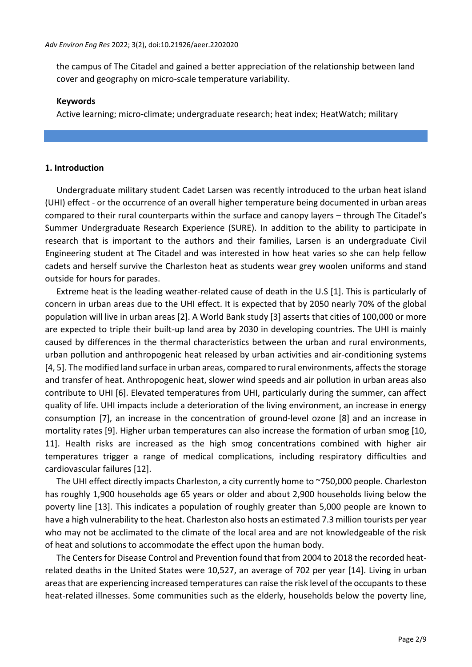the campus of The Citadel and gained a better appreciation of the relationship between land cover and geography on micro-scale temperature variability.

#### **Keywords**

Active learning; micro-climate; undergraduate research; heat index; HeatWatch; military

### **1. Introduction**

Undergraduate military student Cadet Larsen was recently introduced to the urban heat island (UHI) effect - or the occurrence of an overall higher temperature being documented in urban areas compared to their rural counterparts within the surface and canopy layers – through The Citadel's Summer Undergraduate Research Experience (SURE). In addition to the ability to participate in research that is important to the authors and their families, Larsen is an undergraduate Civil Engineering student at The Citadel and was interested in how heat varies so she can help fellow cadets and herself survive the Charleston heat as students wear grey woolen uniforms and stand outside for hours for parades.

Extreme heat is the leading weather-related cause of death in the U.S [1]. This is particularly of concern in urban areas due to the UHI effect. It is expected that by 2050 nearly 70% of the global population will live in urban areas [2]. A World Bank study [3] asserts that cities of 100,000 or more are expected to triple their built-up land area by 2030 in developing countries. The UHI is mainly caused by differences in the thermal characteristics between the urban and rural environments, urban pollution and anthropogenic heat released by urban activities and air-conditioning systems [4, 5]. The modified land surface in urban areas, compared to rural environments, affects the storage and transfer of heat. Anthropogenic heat, slower wind speeds and air pollution in urban areas also contribute to UHI [6]. Elevated temperatures from UHI, particularly during the summer, can affect quality of life. UHI impacts include a deterioration of the living environment, an increase in energy consumption [7], an increase in the concentration of ground-level ozone [8] and an increase in mortality rates [9]. Higher urban temperatures can also increase the formation of urban smog [10, 11]. Health risks are increased as the high smog concentrations combined with higher air temperatures trigger a range of medical complications, including respiratory difficulties and cardiovascular failures [12].

The UHI effect directly impacts Charleston, a city currently home to ~750,000 people. Charleston has roughly 1,900 households age 65 years or older and about 2,900 households living below the poverty line [13]. This indicates a population of roughly greater than 5,000 people are known to have a high vulnerability to the heat. Charleston also hosts an estimated 7.3 million tourists per year who may not be acclimated to the climate of the local area and are not knowledgeable of the risk of heat and solutions to accommodate the effect upon the human body.

The Centers for Disease Control and Prevention found that from 2004 to 2018 the recorded heatrelated deaths in the United States were 10,527, an average of 702 per year [14]. Living in urban areas that are experiencing increased temperatures can raise the risk level of the occupants to these heat-related illnesses. Some communities such as the elderly, households below the poverty line,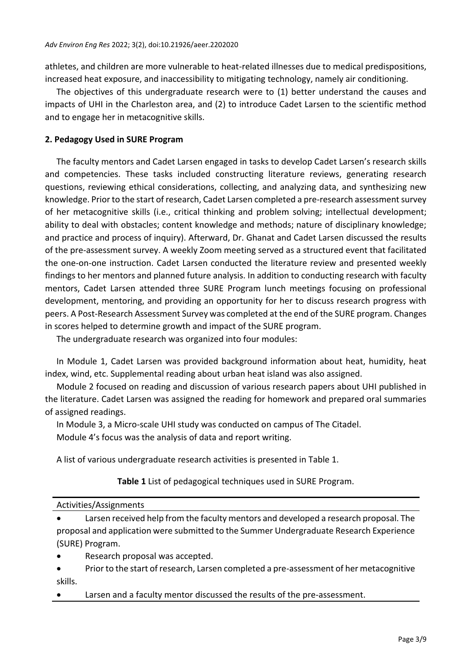athletes, and children are more vulnerable to heat-related illnesses due to medical predispositions, increased heat exposure, and inaccessibility to mitigating technology, namely air conditioning.

The objectives of this undergraduate research were to (1) better understand the causes and impacts of UHI in the Charleston area, and (2) to introduce Cadet Larsen to the scientific method and to engage her in metacognitive skills.

# **2. Pedagogy Used in SURE Program**

The faculty mentors and Cadet Larsen engaged in tasks to develop Cadet Larsen's research skills and competencies. These tasks included constructing literature reviews, generating research questions, reviewing ethical considerations, collecting, and analyzing data, and synthesizing new knowledge. Prior to the start of research, Cadet Larsen completed a pre-research assessment survey of her metacognitive skills (i.e., critical thinking and problem solving; intellectual development; ability to deal with obstacles; content knowledge and methods; nature of disciplinary knowledge; and practice and process of inquiry). Afterward, Dr. Ghanat and Cadet Larsen discussed the results of the pre-assessment survey. A weekly Zoom meeting served as a structured event that facilitated the one-on-one instruction. Cadet Larsen conducted the literature review and presented weekly findings to her mentors and planned future analysis. In addition to conducting research with faculty mentors, Cadet Larsen attended three SURE Program lunch meetings focusing on professional development, mentoring, and providing an opportunity for her to discuss research progress with peers. A Post-Research Assessment Survey was completed at the end of the SURE program. Changes in scores helped to determine growth and impact of the SURE program.

The undergraduate research was organized into four modules:

In Module 1, Cadet Larsen was provided background information about heat, humidity, heat index, wind, etc. Supplemental reading about urban heat island was also assigned.

Module 2 focused on reading and discussion of various research papers about UHI published in the literature. Cadet Larsen was assigned the reading for homework and prepared oral summaries of assigned readings.

In Module 3, a Micro-scale UHI study was conducted on campus of The Citadel. Module 4's focus was the analysis of data and report writing.

A list of various undergraduate research activities is presented in Table 1.

**Table 1** List of pedagogical techniques used in SURE Program.

| Activities/Assignments                                                                  |
|-----------------------------------------------------------------------------------------|
| Larsen received help from the faculty mentors and developed a research proposal. The    |
| proposal and application were submitted to the Summer Undergraduate Research Experience |
| (SURE) Program.                                                                         |

- Research proposal was accepted.
- Prior to the start of research, Larsen completed a pre-assessment of her metacognitive skills.
- Larsen and a faculty mentor discussed the results of the pre-assessment.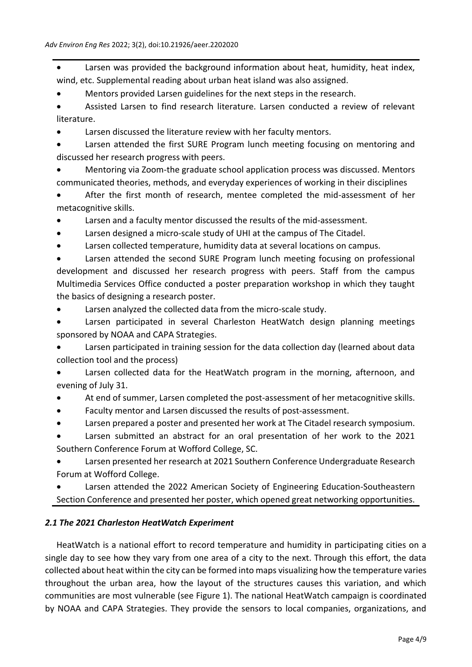Larsen was provided the background information about heat, humidity, heat index, wind, etc. Supplemental reading about urban heat island was also assigned.

• Mentors provided Larsen guidelines for the next steps in the research.

• Assisted Larsen to find research literature. Larsen conducted a review of relevant literature.

Larsen discussed the literature review with her faculty mentors.

Larsen attended the first SURE Program lunch meeting focusing on mentoring and discussed her research progress with peers.

• Mentoring via Zoom-the graduate school application process was discussed. Mentors communicated theories, methods, and everyday experiences of working in their disciplines

• After the first month of research, mentee completed the mid-assessment of her metacognitive skills.

- Larsen and a faculty mentor discussed the results of the mid-assessment.
- Larsen designed a micro-scale study of UHI at the campus of The Citadel.
- Larsen collected temperature, humidity data at several locations on campus.

Larsen attended the second SURE Program lunch meeting focusing on professional development and discussed her research progress with peers. Staff from the campus Multimedia Services Office conducted a poster preparation workshop in which they taught the basics of designing a research poster.

Larsen analyzed the collected data from the micro-scale study.

Larsen participated in several Charleston HeatWatch design planning meetings sponsored by NOAA and CAPA Strategies.

Larsen participated in training session for the data collection day (learned about data collection tool and the process)

• Larsen collected data for the HeatWatch program in the morning, afternoon, and evening of July 31.

- At end of summer, Larsen completed the post-assessment of her metacognitive skills.
- Faculty mentor and Larsen discussed the results of post-assessment.
- Larsen prepared a poster and presented her work at The Citadel research symposium.

• Larsen submitted an abstract for an oral presentation of her work to the 2021 Southern Conference Forum at Wofford College, SC.

• Larsen presented her research at 2021 Southern Conference Undergraduate Research Forum at Wofford College.

Larsen attended the 2022 American Society of Engineering Education-Southeastern Section Conference and presented her poster, which opened great networking opportunities.

# *2.1 The 2021 Charleston HeatWatch Experiment*

HeatWatch is a national effort to record temperature and humidity in participating cities on a single day to see how they vary from one area of a city to the next. Through this effort, the data collected about heat within the city can be formed into maps visualizing how the temperature varies throughout the urban area, how the layout of the structures causes this variation, and which communities are most vulnerable (see Figure 1). The national HeatWatch campaign is coordinated by NOAA and CAPA Strategies. They provide the sensors to local companies, organizations, and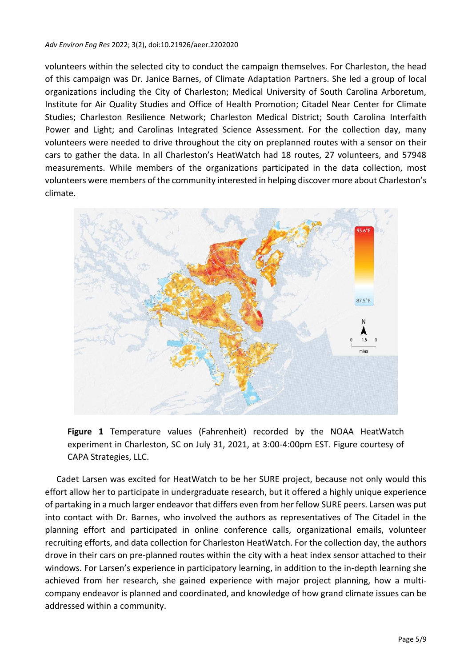#### *Adv Environ Eng Res* 2022; 3(2), doi:10.21926/aeer.2202020

volunteers within the selected city to conduct the campaign themselves. For Charleston, the head of this campaign was Dr. Janice Barnes, of Climate Adaptation Partners. She led a group of local organizations including the City of Charleston; Medical University of South Carolina Arboretum, Institute for Air Quality Studies and Office of Health Promotion; Citadel Near Center for Climate Studies; Charleston Resilience Network; Charleston Medical District; South Carolina Interfaith Power and Light; and Carolinas Integrated Science Assessment. For the collection day, many volunteers were needed to drive throughout the city on preplanned routes with a sensor on their cars to gather the data. In all Charleston's HeatWatch had 18 routes, 27 volunteers, and 57948 measurements. While members of the organizations participated in the data collection, most volunteers were members of the community interested in helping discover more about Charleston's climate.



**Figure 1** Temperature values (Fahrenheit) recorded by the NOAA HeatWatch experiment in Charleston, SC on July 31, 2021, at 3:00-4:00pm EST. Figure courtesy of CAPA Strategies, LLC.

Cadet Larsen was excited for HeatWatch to be her SURE project, because not only would this effort allow her to participate in undergraduate research, but it offered a highly unique experience of partaking in a much larger endeavor that differs even from her fellow SURE peers. Larsen was put into contact with Dr. Barnes, who involved the authors as representatives of The Citadel in the planning effort and participated in online conference calls, organizational emails, volunteer recruiting efforts, and data collection for Charleston HeatWatch. For the collection day, the authors drove in their cars on pre-planned routes within the city with a heat index sensor attached to their windows. For Larsen's experience in participatory learning, in addition to the in-depth learning she achieved from her research, she gained experience with major project planning, how a multicompany endeavor is planned and coordinated, and knowledge of how grand climate issues can be addressed within a community.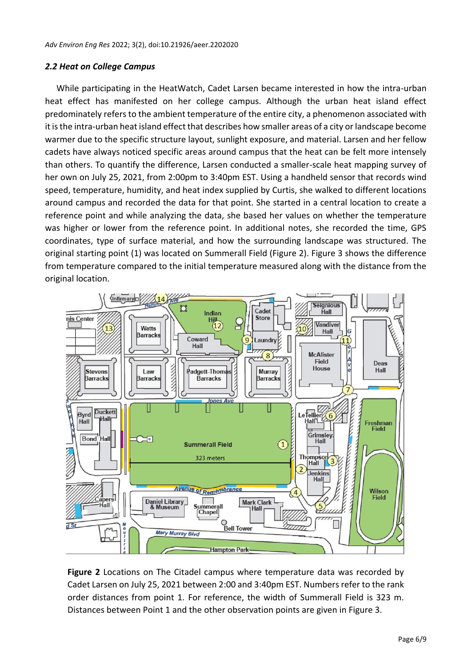# *2.2 Heat on College Campus*

While participating in the HeatWatch, Cadet Larsen became interested in how the intra-urban heat effect has manifested on her college campus. Although the urban heat island effect predominately refers to the ambient temperature of the entire city, a phenomenon associated with it is the intra-urban heat island effect that describes how smaller areas of a city or landscape become warmer due to the specific structure layout, sunlight exposure, and material. Larsen and her fellow cadets have always noticed specific areas around campus that the heat can be felt more intensely than others. To quantify the difference, Larsen conducted a smaller-scale heat mapping survey of her own on July 25, 2021, from 2:00pm to 3:40pm EST. Using a handheld sensor that records wind speed, temperature, humidity, and heat index supplied by Curtis, she walked to different locations around campus and recorded the data for that point. She started in a central location to create a reference point and while analyzing the data, she based her values on whether the temperature was higher or lower from the reference point. In additional notes, she recorded the time, GPS coordinates, type of surface material, and how the surrounding landscape was structured. The original starting point (1) was located on Summerall Field (Figure 2). Figure 3 shows the difference from temperature compared to the initial temperature measured along with the distance from the original location.



**Figure 2** Locations on The Citadel campus where temperature data was recorded by Cadet Larsen on July 25, 2021 between 2:00 and 3:40pm EST. Numbers refer to the rank order distances from point 1. For reference, the width of Summerall Field is 323 m. Distances between Point 1 and the other observation points are given in Figure 3.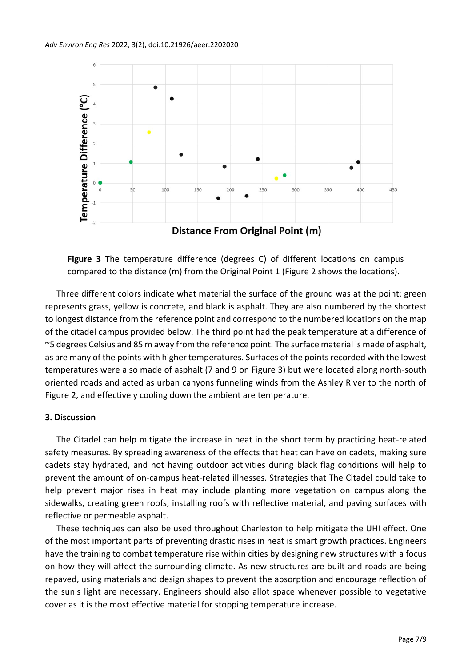

**Figure 3** The temperature difference (degrees C) of different locations on campus compared to the distance (m) from the Original Point 1 (Figure 2 shows the locations).

Three different colors indicate what material the surface of the ground was at the point: green represents grass, yellow is concrete, and black is asphalt. They are also numbered by the shortest to longest distance from the reference point and correspond to the numbered locations on the map of the citadel campus provided below. The third point had the peak temperature at a difference of ~5 degrees Celsius and 85 m away from the reference point. The surface material is made of asphalt, as are many of the points with higher temperatures. Surfaces of the points recorded with the lowest temperatures were also made of asphalt (7 and 9 on Figure 3) but were located along north-south oriented roads and acted as urban canyons funneling winds from the Ashley River to the north of Figure 2, and effectively cooling down the ambient are temperature.

## **3. Discussion**

The Citadel can help mitigate the increase in heat in the short term by practicing heat-related safety measures. By spreading awareness of the effects that heat can have on cadets, making sure cadets stay hydrated, and not having outdoor activities during black flag conditions will help to prevent the amount of on-campus heat-related illnesses. Strategies that The Citadel could take to help prevent major rises in heat may include planting more vegetation on campus along the sidewalks, creating green roofs, installing roofs with reflective material, and paving surfaces with reflective or permeable asphalt.

These techniques can also be used throughout Charleston to help mitigate the UHI effect. One of the most important parts of preventing drastic rises in heat is smart growth practices. Engineers have the training to combat temperature rise within cities by designing new structures with a focus on how they will affect the surrounding climate. As new structures are built and roads are being repaved, using materials and design shapes to prevent the absorption and encourage reflection of the sun's light are necessary. Engineers should also allot space whenever possible to vegetative cover as it is the most effective material for stopping temperature increase.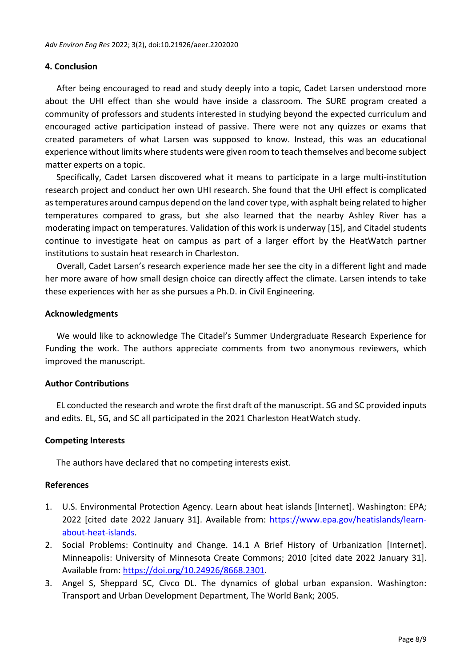### **4. Conclusion**

After being encouraged to read and study deeply into a topic, Cadet Larsen understood more about the UHI effect than she would have inside a classroom. The SURE program created a community of professors and students interested in studying beyond the expected curriculum and encouraged active participation instead of passive. There were not any quizzes or exams that created parameters of what Larsen was supposed to know. Instead, this was an educational experience without limits where students were given room to teach themselves and become subject matter experts on a topic.

Specifically, Cadet Larsen discovered what it means to participate in a large multi-institution research project and conduct her own UHI research. She found that the UHI effect is complicated as temperatures around campus depend on the land cover type, with asphalt being related to higher temperatures compared to grass, but she also learned that the nearby Ashley River has a moderating impact on temperatures. Validation of this work is underway [15], and Citadel students continue to investigate heat on campus as part of a larger effort by the HeatWatch partner institutions to sustain heat research in Charleston.

Overall, Cadet Larsen's research experience made her see the city in a different light and made her more aware of how small design choice can directly affect the climate. Larsen intends to take these experiences with her as she pursues a Ph.D. in Civil Engineering.

### **Acknowledgments**

We would like to acknowledge The Citadel's Summer Undergraduate Research Experience for Funding the work. The authors appreciate comments from two anonymous reviewers, which improved the manuscript.

## **Author Contributions**

EL conducted the research and wrote the first draft of the manuscript. SG and SC provided inputs and edits. EL, SG, and SC all participated in the 2021 Charleston HeatWatch study.

## **Competing Interests**

The authors have declared that no competing interests exist.

## **References**

- 1. U.S. Environmental Protection Agency. Learn about heat islands [Internet]. Washington: EPA; 2022 [cited date 2022 January 31]. Available from: [https://www.epa.gov/heatislands/learn](https://www.epa.gov/heatislands/learn-about-heat-islands)[about-heat-islands.](https://www.epa.gov/heatislands/learn-about-heat-islands)
- 2. Social Problems: Continuity and Change. 14.1 A Brief History of Urbanization [Internet]. Minneapolis: University of Minnesota Create Commons; 2010 [cited date 2022 January 31]. Available from: [https://doi.org/10.24926/8668.2301.](https://doi.org/10.24926/8668.2301)
- 3. Angel S, Sheppard SC, Civco DL. The dynamics of global urban expansion. Washington: Transport and Urban Development Department, The World Bank; 2005.